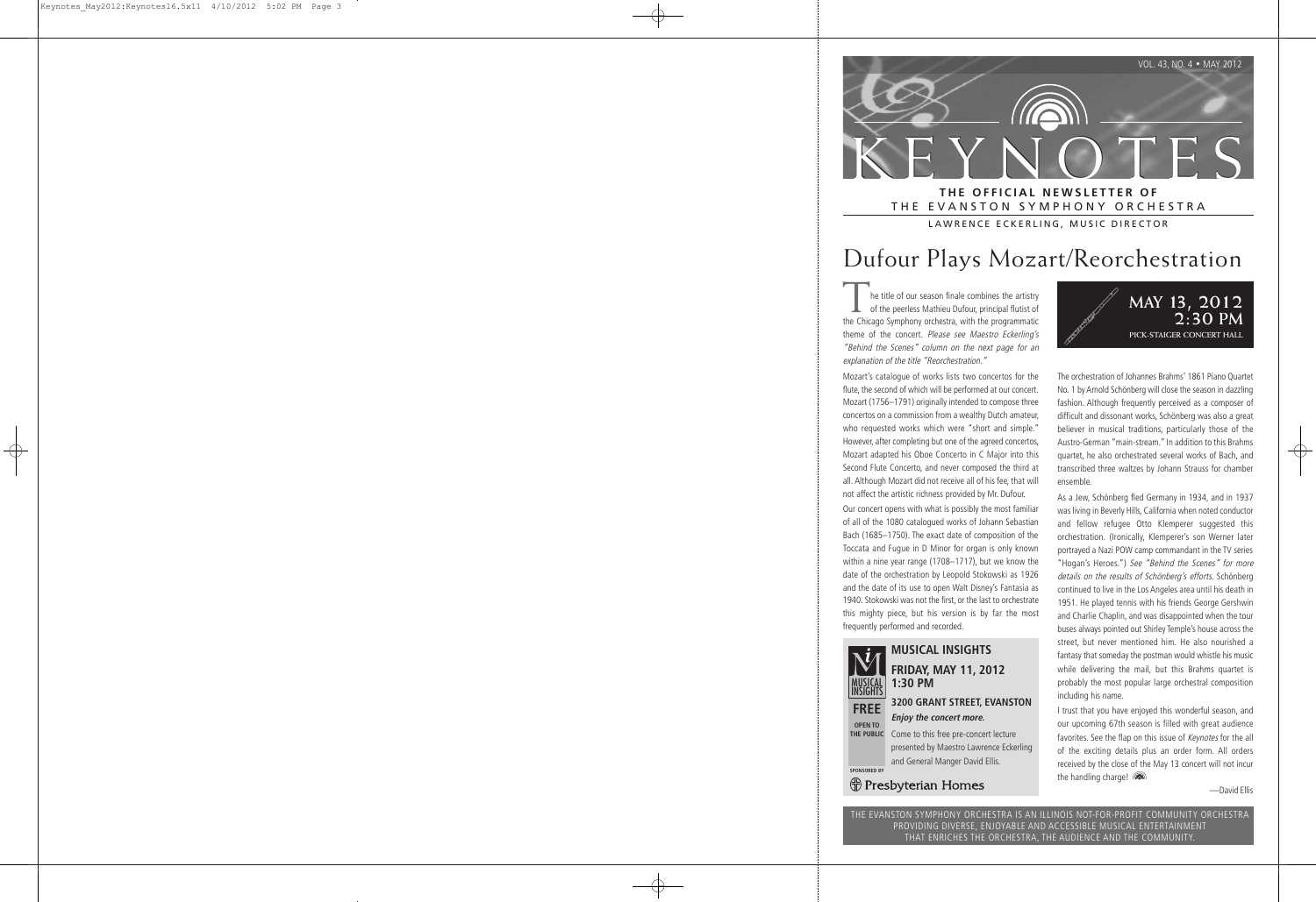

THE EVANSTON SYMPHONY ORCHESTRA LAWRENCE ECKERLING, MUSIC DIRECTOR

## Dufour Plays Mozart/Reorchestration

he title of our season finale combines the artistry of the peerless Mathieu Dufour, principal flutist of the Chicago Symphony orchestra, with the programmatic theme of the concert. Please see Maestro Eckerling's "Behind the Scenes" column on the next page for an explanation of the title "Reorchestration."

Mozart's catalogue of works lists two concertos for the flute, the second of which will be performed at our concert. Mozart (1756–1791) originally intended to compose three concertos on a commission from a wealthy Dutch amateur, who requested works which were "short and simple." However, after completing but one of the agreed concertos, Mozart adapted his Oboe Concerto in C Major into this Second Flute Concerto, and never composed the third at all. Although Mozart did not receive all of his fee, that will not affect the artistic richness provided by Mr. Dufour.

Our concert opens with what is possibly the most familiar of all of the 1080 catalogued works of Johann Sebastian Bach (1685–1750). The exact date of composition of the Toccata and Fugue in D Minor for organ is only known within a nine year range (1708–1717), but we know the date of the orchestration by Leopold Stokowski as 1926 and the date of its use to open Walt Disney's Fantasia as 1940. Stokowski was not the first, or the last to orchestrate this mighty piece, but his version is by far the most frequently performed and recorded.



### **MUSICAL INSIGHTS FRIDAY, MAY 11, 2012 1:30 PM**

### **3200 GRANT STREET, EVANSTON Enjoy the concert more.**

Come to this free pre-concert lecture presented by Maestro Lawrence Eckerling and General Manger David Ellis.

**SPONSORED BY**

(†) Presbyterian Homes



The orchestration of Johannes Brahms' 1861 Piano Quartet No. 1 by Arnold Schönberg will close the season in dazzling fashion. Although frequently perceived as a composer of difficult and dissonant works, Schönberg was also a great believer in musical traditions, particularly those of the Austro-German "main-stream." In addition to this Brahms quartet, he also orchestrated several works of Bach, and transcribed three waltzes by Johann Strauss for chamber ensemble.

As a Jew, Schönberg fled Germany in 1934, and in 1937 was living in Beverly Hills, California when noted conductor and fellow refugee Otto Klemperer suggested this orchestration. (Ironically, Klemperer's son Werner later portrayed a Nazi POW camp commandant in the TV series "Hogan's Heroes.") See "Behind the Scenes" for more details on the results of Schönberg's efforts. Schönberg continued to live in the Los Angeles area until his death in 1951. He played tennis with his friends George Gershwin and Charlie Chaplin, and was disappointed when the tour buses always pointed out Shirley Temple's house across the street, but never mentioned him. He also nourished a fantasy that someday the postman would whistle his music while delivering the mail, but this Brahms quartet is probably the most popular large orchestral composition including his name.

I trust that you have enjoyed this wonderful season, and our upcoming 67th season is filled with great audience favorites. See the flap on this issue of Keynotes for the all of the exciting details plus an order form. All orders received by the close of the May 13 concert will not incur the handling charge!

—David Ellis

THE EVANSTON SYMPHONY ORCHESTRA IS AN ILLINOIS NOT-FOR-PROFIT COMMUNITY ORCHESTRA PROVIDING DIVERSE, ENJOYABLE AND ACCESSIBLE MUSICAL ENTERTAINMENT THAT ENRICHES THE ORCHESTRA, THE AUDIENCE AND THE COMMUNITY.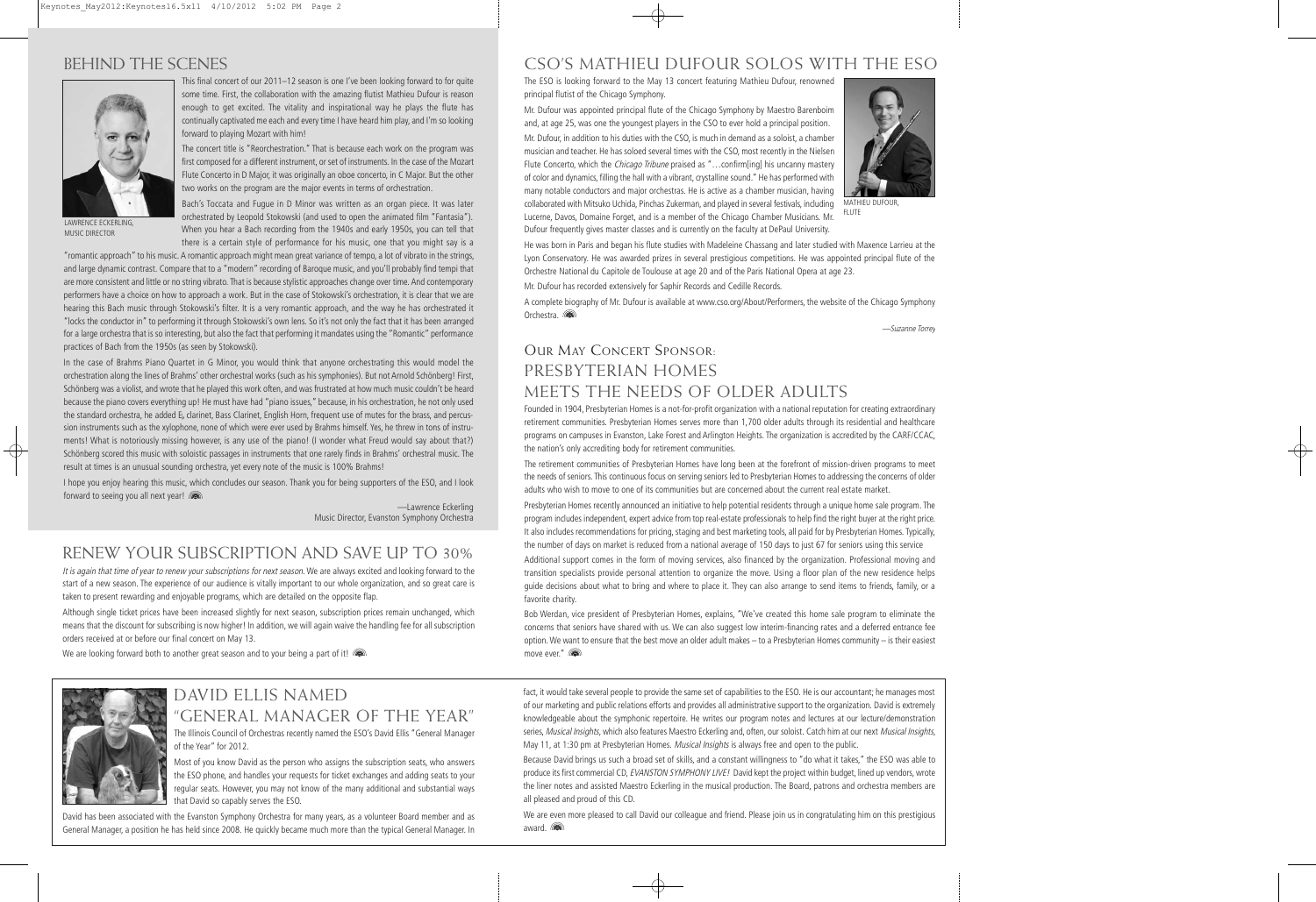### BEHIND THE SCENES



This final concert of our 2011–12 season is one I've been looking forward to for quite some time. First, the collaboration with the amazing flutist Mathieu Dufour is reason enough to get excited. The vitality and inspirational way he plays the flute has continually captivated me each and every time I have heard him play, and I'm so looking forward to playing Mozart with him!

The concert title is "Reorchestration." That is because each work on the program was first composed for a different instrument, or set of instruments. In the case of the Mozart Flute Concerto in D Major, it was originally an oboe concerto, in C Major. But the other two works on the program are the major events in terms of orchestration.

LAWRENCE ECKERLING, MUSIC DIRECTOR

Bach's Toccata and Fugue in D Minor was written as an organ piece. It was later orchestrated by Leopold Stokowski (and used to open the animated film "Fantasia"). When you hear a Bach recording from the 1940s and early 1950s, you can tell that there is a certain style of performance for his music, one that you might say is a

 "romantic approach" to his music. A romantic approach might mean great variance of tempo, a lot of vibrato in the strings, and large dynamic contrast. Compare that to a "modern" recording of Baroque music, and you'll probably find tempi that are more consistent and little or no string vibrato. That is because stylistic approaches change over time. And contemporary performers have a choice on how to approach a work. But in the case of Stokowski's orchestration, it is clear that we are hearing this Bach music through Stokowski's filter. It is a very romantic approach, and the way he has orchestrated it "locks the conductor in" to performing it through Stokowski's own lens. So it's not only the fact that it has been arranged for a large orchestra that is so interesting, but also the fact that performing it mandates using the "Romantic" performance practices of Bach from the 1950s (as seen by Stokowski).

In the case of Brahms Piano Quartet in G Minor, you would think that anyone orchestrating this would model the orchestration along the lines of Brahms' other orchestral works (such as his symphonies). But not Arnold Schönberg! First, Schönberg was a violist, and wrote that he played this work often, and was frustrated at how much music couldn't be heard because the piano covers everything up! He must have had "piano issues," because, in his orchestration, he not only used the standard orchestra, he added E<sub>b</sub> clarinet, Bass Clarinet, English Horn, frequent use of mutes for the brass, and percussion instruments such as the xylophone, none of which were ever used by Brahms himself. Yes, he threw in tons of instruments! What is notoriously missing however, is any use of the piano! (I wonder what Freud would say about that?) Schönberg scored this music with soloistic passages in instruments that one rarely finds in Brahms' orchestral music. The result at times is an unusual sounding orchestra, yet every note of the music is 100% Brahms!

I hope you enjoy hearing this music, which concludes our season. Thank you for being supporters of the ESO, and I look forward to seeing you all next year!

> —Lawrence Eckerling Music Director, Evanston Symphony Orchestra

## RENEW YOUR SUBSCRIPTION AND SAVE UP TO 30%

It is again that time of year to renew your subscriptions for next season. We are always excited and looking forward to the start of a new season. The experience of our audience is vitally important to our whole organization, and so great care is taken to present rewarding and enjoyable programs, which are detailed on the opposite flap.

Although single ticket prices have been increased slightly for next season, subscription prices remain unchanged, which means that the discount for subscribing is now higher! In addition, we will again waive the handling fee for all subscription orders received at or before our final concert on May 13.

We are looking forward both to another great season and to your being a part of it!



### DAVID ELLIS NAMED "GENERAL MANAGER OF THE YEAR"

The Illinois Council of Orchestras recently named the ESO's David Ellis "General Manager of the Year" for 2012.

Most of you know David as the person who assigns the subscription seats, who answers the ESO phone, and handles your requests for ticket exchanges and adding seats to your regular seats. However, you may not know of the many additional and substantial ways that David so capably serves the ESO.

David has been associated with the Evanston Symphony Orchestra for many years, as a volunteer Board member and as General Manager, a position he has held since 2008. He quickly became much more than the typical General Manager. In

### CSO'S MATHIEU DUFOUR SOLOS WITH THE ESO

The ESO is looking forward to the May 13 concert featuring Mathieu Dufour, renowned principal flutist of the Chicago Symphony.

Mr. Dufour was appointed principal flute of the Chicago Symphony by Maestro Barenboim and, at age 25, was one the youngest players in the CSO to ever hold a principal position.

Mr. Dufour, in addition to his duties with the CSO, is much in demand as a soloist, a chamber musician and teacher. He has soloed several times with the CSO, most recently in the Nielsen Flute Concerto, which the *Chicago Tribune* praised as "...confirm[ing] his uncanny mastery of color and dynamics, filling the hall with a vibrant, crystalline sound." He has performed with many notable conductors and major orchestras. He is active as a chamber musician, having collaborated with Mitsuko Uchida, Pinchas Zukerman, and played in several festivals, including Lucerne, Davos, Domaine Forget, and is a member of the Chicago Chamber Musicians. Mr. Dufour frequently gives master classes and is currently on the faculty at DePaul University.



MATHIEU DUFOUR, FLUTE

He was born in Paris and began his flute studies with Madeleine Chassang and later studied with Maxence Larrieu at the Lyon Conservatory. He was awarded prizes in several prestigious competitions. He was appointed principal flute of the Orchestre National du Capitole de Toulouse at age 20 and of the Paris National Opera at age 23.

Mr. Dufour has recorded extensively for Saphir Records and Cedille Records.

A complete biography of Mr. Dufour is available at www.cso.org/About/Performers, the website of the Chicago Symphony Orchestra. (

—Suzanne Torrey

### OUR MAY CONCERT SPONSOR: PRESBYTERIAN HOMES MEETS THE NEEDS OF OLDER ADULTS

Founded in 1904, Presbyterian Homes is a not-for-profit organization with a national reputation for creating extraordinary retirement communities. Presbyterian Homes serves more than 1,700 older adults through its residential and healthcare programs on campuses in Evanston, Lake Forest and Arlington Heights. The organization is accredited by the CARF/CCAC, the nation's only accrediting body for retirement communities.

The retirement communities of Presbyterian Homes have long been at the forefront of mission-driven programs to meet the needs of seniors. This continuous focus on serving seniors led to Presbyterian Homes to addressing the concerns of older adults who wish to move to one of its communities but are concerned about the current real estate market.

Presbyterian Homes recently announced an initiative to help potential residents through a unique home sale program. The program includes independent, expert advice from top real-estate professionals to help find the right buyer at the right price. It also includes recommendations for pricing, staging and best marketing tools, all paid for by Presbyterian Homes. Typically, the number of days on market is reduced from a national average of 150 days to just 67 for seniors using this service

Additional support comes in the form of moving services, also financed by the organization. Professional moving and transition specialists provide personal attention to organize the move. Using a floor plan of the new residence helps guide decisions about what to bring and where to place it. They can also arrange to send items to friends, family, or a favorite charity.

Bob Werdan, vice president of Presbyterian Homes, explains, "We've created this home sale program to eliminate the concerns that seniors have shared with us. We can also suggest low interim-financing rates and a deferred entrance fee option. We want to ensure that the best move an older adult makes – to a Presbyterian Homes community – is their easiest move ever."

fact, it would take several people to provide the same set of capabilities to the ESO. He is our accountant; he manages most of our marketing and public relations efforts and provides all administrative support to the organization. David is extremely knowledgeable about the symphonic repertoire. He writes our program notes and lectures at our lecture/demonstration series, Musical Insights, which also features Maestro Eckerling and, often, our soloist. Catch him at our next Musical Insights, May 11, at 1:30 pm at Presbyterian Homes. Musical Insights is always free and open to the public.

Because David brings us such a broad set of skills, and a constant willingness to "do what it takes," the ESO was able to produce its first commercial CD, EVANSTON SYMPHONY LIVE! David kept the project within budget, lined up vendors, wrote the liner notes and assisted Maestro Eckerling in the musical production. The Board, patrons and orchestra members are all pleased and proud of this CD.

We are even more pleased to call David our colleague and friend. Please join us in congratulating him on this prestigious award.